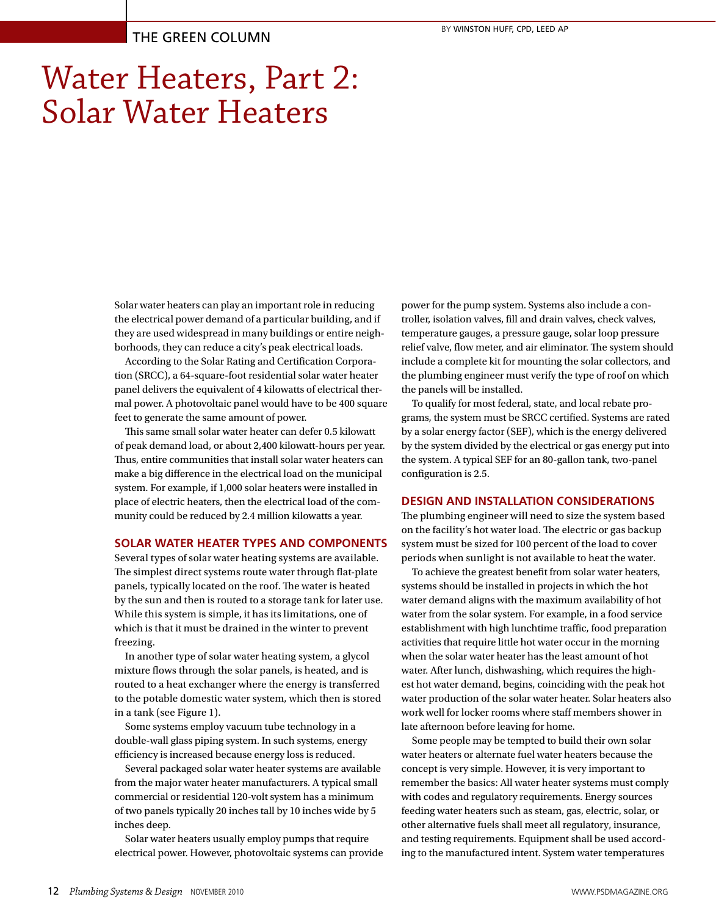# Water Heaters, Part 2: Solar Water Heaters

Solar water heaters can play an important role in reducing the electrical power demand of a particular building, and if they are used widespread in many buildings or entire neighborhoods, they can reduce a city's peak electrical loads.

According to the Solar Rating and Certification Corporation (SRCC), a 64-square-foot residential solar water heater panel delivers the equivalent of 4 kilowatts of electrical thermal power. A photovoltaic panel would have to be 400 square feet to generate the same amount of power.

This same small solar water heater can defer 0.5 kilowatt of peak demand load, or about 2,400 kilowatt-hours per year. Thus, entire communities that install solar water heaters can make a big difference in the electrical load on the municipal system. For example, if 1,000 solar heaters were installed in place of electric heaters, then the electrical load of the community could be reduced by 2.4 million kilowatts a year.

# **SOLAR WATER HEATER TYPES AND COMPONENTS**

Several types of solar water heating systems are available. The simplest direct systems route water through flat-plate panels, typically located on the roof. The water is heated by the sun and then is routed to a storage tank for later use. While this system is simple, it has its limitations, one of which is that it must be drained in the winter to prevent freezing.

In another type of solar water heating system, a glycol mixture flows through the solar panels, is heated, and is routed to a heat exchanger where the energy is transferred to the potable domestic water system, which then is stored in a tank (see Figure 1).

Some systems employ vacuum tube technology in a double-wall glass piping system. In such systems, energy efficiency is increased because energy loss is reduced.

Several packaged solar water heater systems are available from the major water heater manufacturers. A typical small commercial or residential 120-volt system has a minimum of two panels typically 20 inches tall by 10 inches wide by 5 inches deep.

Solar water heaters usually employ pumps that require electrical power. However, photovoltaic systems can provide power for the pump system. Systems also include a controller, isolation valves, fill and drain valves, check valves, temperature gauges, a pressure gauge, solar loop pressure relief valve, flow meter, and air eliminator. The system should include a complete kit for mounting the solar collectors, and the plumbing engineer must verify the type of roof on which the panels will be installed.

To qualify for most federal, state, and local rebate programs, the system must be SRCC certified. Systems are rated by a solar energy factor (SEF), which is the energy delivered by the system divided by the electrical or gas energy put into the system. A typical SEF for an 80-gallon tank, two-panel configuration is 2.5.

### **DESIGN AND INSTALLATION CONSIDERATIONS**

The plumbing engineer will need to size the system based on the facility's hot water load. The electric or gas backup system must be sized for 100 percent of the load to cover periods when sunlight is not available to heat the water.

To achieve the greatest benefit from solar water heaters, systems should be installed in projects in which the hot water demand aligns with the maximum availability of hot water from the solar system. For example, in a food service establishment with high lunchtime traffic, food preparation activities that require little hot water occur in the morning when the solar water heater has the least amount of hot water. After lunch, dishwashing, which requires the highest hot water demand, begins, coinciding with the peak hot water production of the solar water heater. Solar heaters also work well for locker rooms where staff members shower in late afternoon before leaving for home.

Some people may be tempted to build their own solar water heaters or alternate fuel water heaters because the concept is very simple. However, it is very important to remember the basics: All water heater systems must comply with codes and regulatory requirements. Energy sources feeding water heaters such as steam, gas, electric, solar, or other alternative fuels shall meet all regulatory, insurance, and testing requirements. Equipment shall be used according to the manufactured intent. System water temperatures